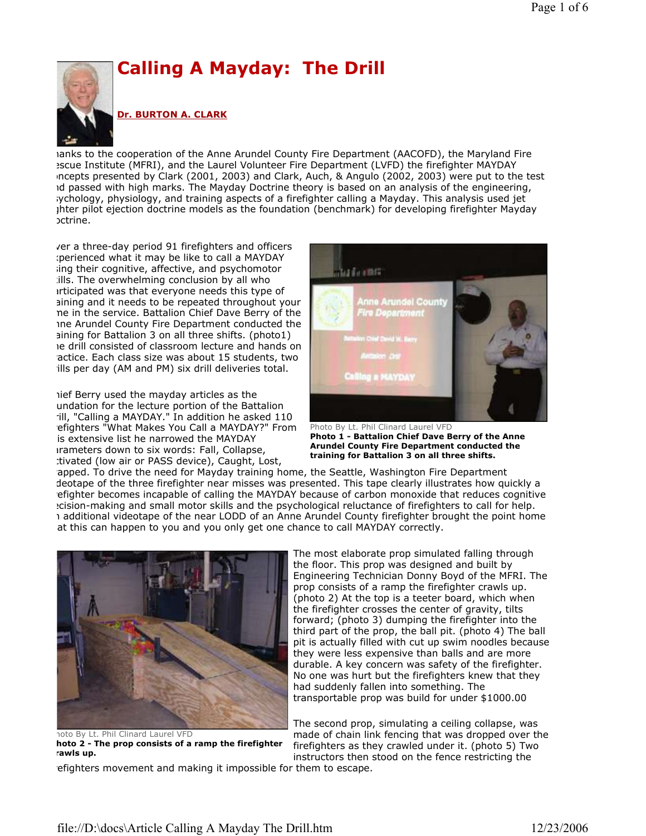

ianks to the cooperation of the Anne Arundel County Fire Department (AACOFD), the Maryland Fire escue Institute (MFRI), and the Laurel Volunteer Fire Department (LVFD) the firefighter MAYDAY concepts presented by Clark (2001, 2003) and Clark, Auch, & Angulo (2002, 2003) were put to the test id passed with high marks. The Mayday Doctrine theory is based on an analysis of the engineering, rychology, physiology, and training aspects of a firefighter calling a Mayday. This analysis used jet jhter pilot ejection doctrine models as the foundation (benchmark) for developing firefighter Mayday Doctrine.

ver a three-day period 91 firefighters and officers perienced what it may be like to call a MAYDAY ing their cognitive, affective, and psychomotor ills. The overwhelming conclusion by all who prticipated was that everyone needs this type of aining and it needs to be repeated throughout your ne in the service. Battalion Chief Dave Berry of the Anne Arundel County Fire Department conducted the aining for Battalion 3 on all three shifts. (photo1) Ie drill consisted of classroom lecture and hands on actice. Each class size was about 15 students, two ills per day (AM and PM) six drill deliveries total.

hief Berry used the mayday articles as the undation for the lecture portion of the Battalion ill, "Calling a MAYDAY." In addition he asked 110 efighters "What Makes You Call a MAYDAY?" From is extensive list he narrowed the MAYDAY Irameters down to six words: Fall, Collapse, tivated (low air or PASS device), Caught, Lost,



Photo By Lt. Phil Clinard Laurel VFD Photo 1 - Battalion Chief Dave Berry of the Anne Arundel County Fire Department conducted the training for Battalion 3 on all three shifts.

apped. To drive the need for Mayday training home, the Seattle, Washington Fire Department deotape of the three firefighter near misses was presented. This tape clearly illustrates how quickly a efighter becomes incapable of calling the MAYDAY because of carbon monoxide that reduces cognitive ecision-making and small motor skills and the psychological reluctance of firefighters to call for help. 1 additional videotape of the near LODD of an Anne Arundel County firefighter brought the point home at this can happen to you and you only get one chance to call MAYDAY correctly.



noto By Lt. Phil Clinard Laurel VFD hoto 2 - The prop consists of a ramp the firefighter crawls up.

efighters movement and making it impossible for them to escape.

The most elaborate prop simulated falling through the floor. This prop was designed and built by Engineering Technician Donny Boyd of the MFRI. The prop consists of a ramp the firefighter crawls up. (photo 2) At the top is a teeter board, which when the firefighter crosses the center of gravity, tilts forward; (photo 3) dumping the firefighter into the third part of the prop, the ball pit. (photo 4) The ball pit is actually filled with cut up swim noodles because they were less expensive than balls and are more durable. A key concern was safety of the firefighter. No one was hurt but the firefighters knew that they had suddenly fallen into something. The transportable prop was build for under \$1000.00

The second prop, simulating a ceiling collapse, was made of chain link fencing that was dropped over the firefighters as they crawled under it. (photo 5) Two instructors then stood on the fence restricting the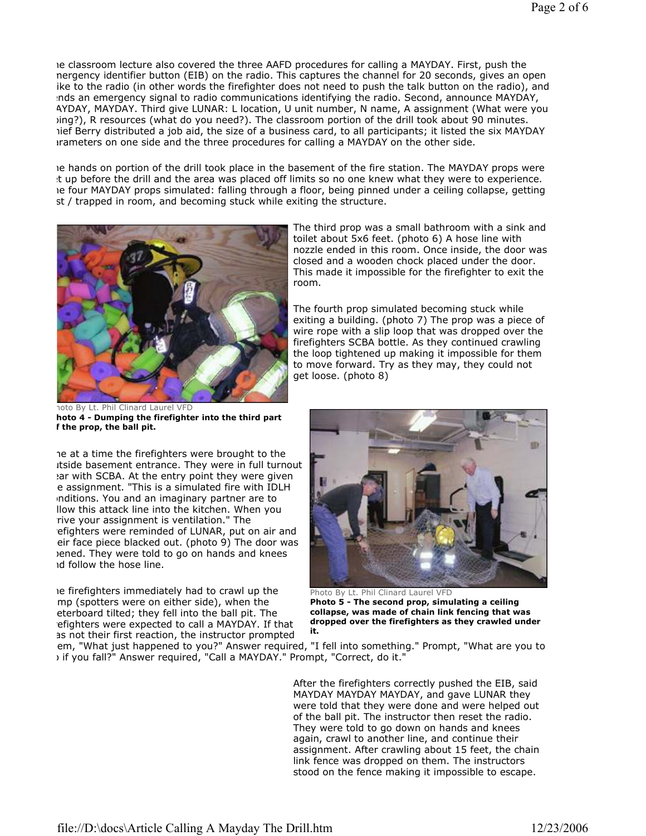Ie classroom lecture also covered the three AAFD procedures for calling a MAYDAY. First, push the nergency identifier button (EIB) on the radio. This captures the channel for 20 seconds, gives an open ike to the radio (in other words the firefighter does not need to push the talk button on the radio), and sends an emergency signal to radio communications identifying the radio. Second, announce MAYDAY, AYDAY, MAYDAY. Third give LUNAR: L location, U unit number, N name, A assignment (What were you bing?), R resources (what do you need?). The classroom portion of the drill took about 90 minutes. lief Berry distributed a job aid, the size of a business card, to all participants; it listed the six MAYDAY prameters on one side and the three procedures for calling a MAYDAY on the other side.

Ie hands on portion of the drill took place in the basement of the fire station. The MAYDAY props were t up before the drill and the area was placed off limits so no one knew what they were to experience. Ie four MAYDAY props simulated: falling through a floor, being pinned under a ceiling collapse, getting st / trapped in room, and becoming stuck while exiting the structure.



noto By Lt. Phil Clinard Laurel VFD hoto 4 - Dumping the firefighter into the third part f the prop, the ball pit.

The at a time the firefighters were brought to the itside basement entrance. They were in full turnout ear with SCBA. At the entry point they were given e assignment. "This is a simulated fire with IDLH inditions. You and an imaginary partner are to llow this attack line into the kitchen. When you rive your assignment is ventilation." The efighters were reminded of LUNAR, put on air and eir face piece blacked out. (photo 9) The door was opened. They were told to go on hands and knees id follow the hose line.

Ie firefighters immediately had to crawl up the mp (spotters were on either side), when the eterboard tilted; they fell into the ball pit. The efighters were expected to call a MAYDAY. If that as not their first reaction, the instructor prompted

The third prop was a small bathroom with a sink and toilet about 5x6 feet. (photo 6) A hose line with nozzle ended in this room. Once inside, the door was closed and a wooden chock placed under the door. This made it impossible for the firefighter to exit the room.

The fourth prop simulated becoming stuck while exiting a building. (photo 7) The prop was a piece of wire rope with a slip loop that was dropped over the firefighters SCBA bottle. As they continued crawling the loop tightened up making it impossible for them to move forward. Try as they may, they could not get loose. (photo 8)



Photo By Lt. Phil Clinard Laurel VFD Photo 5 - The second prop, simulating a ceiling collapse, was made of chain link fencing that was dropped over the firefighters as they crawled under it.

em, "What just happened to you?" Answer required, "I fell into something." Prompt, "What are you to if you fall?" Answer required, "Call a MAYDAY." Prompt, "Correct, do it."

> After the firefighters correctly pushed the EIB, said MAYDAY MAYDAY MAYDAY, and gave LUNAR they were told that they were done and were helped out of the ball pit. The instructor then reset the radio. They were told to go down on hands and knees again, crawl to another line, and continue their assignment. After crawling about 15 feet, the chain link fence was dropped on them. The instructors stood on the fence making it impossible to escape.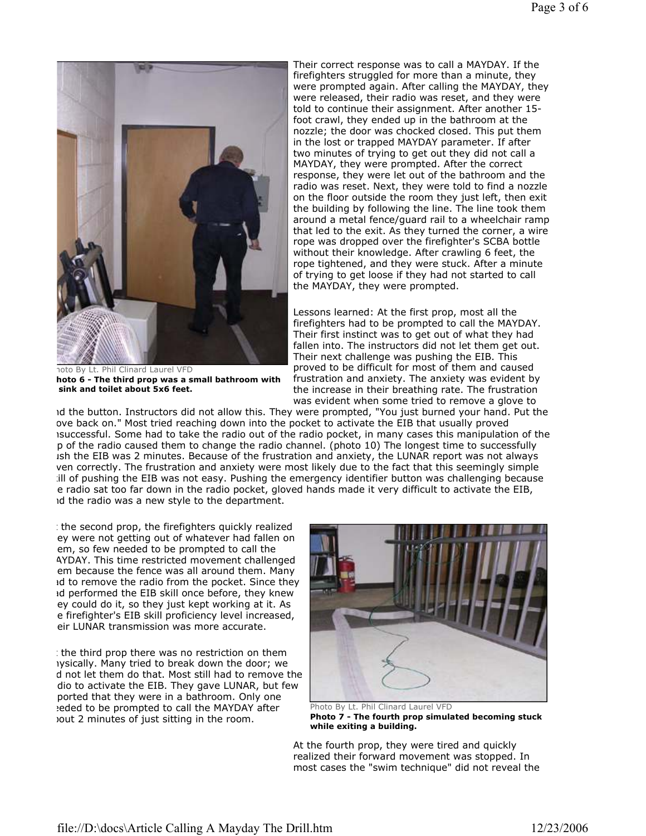

noto By Lt. Phil Clinard Laurel VFD hoto 6 - The third prop was a small bathroom with sink and toilet about 5x6 feet.

Their correct response was to call a MAYDAY. If the firefighters struggled for more than a minute, they were prompted again. After calling the MAYDAY, they were released, their radio was reset, and they were told to continue their assignment. After another 15 foot crawl, they ended up in the bathroom at the nozzle; the door was chocked closed. This put them in the lost or trapped MAYDAY parameter. If after two minutes of trying to get out they did not call a MAYDAY, they were prompted. After the correct response, they were let out of the bathroom and the radio was reset. Next, they were told to find a nozzle on the floor outside the room they just left, then exit the building by following the line. The line took them around a metal fence/guard rail to a wheelchair ramp that led to the exit. As they turned the corner, a wire rope was dropped over the firefighter's SCBA bottle without their knowledge. After crawling 6 feet, the rope tightened, and they were stuck. After a minute of trying to get loose if they had not started to call the MAYDAY, they were prompted.

Lessons learned: At the first prop, most all the firefighters had to be prompted to call the MAYDAY. Their first instinct was to get out of what they had fallen into. The instructors did not let them get out. Their next challenge was pushing the EIB. This proved to be difficult for most of them and caused frustration and anxiety. The anxiety was evident by the increase in their breathing rate. The frustration was evident when some tried to remove a glove to

id the button. Instructors did not allow this. They were prompted, "You just burned your hand. Put the ove back on." Most tried reaching down into the pocket to activate the EIB that usually proved isuccessful. Some had to take the radio out of the radio pocket, in many cases this manipulation of the p of the radio caused them to change the radio channel. (photo 10) The longest time to successfully ish the EIB was 2 minutes. Because of the frustration and anxiety, the LUNAR report was not always given correctly. The frustration and anxiety were most likely due to the fact that this seemingly simple ill of pushing the EIB was not easy. Pushing the emergency identifier button was challenging because e radio sat too far down in the radio pocket, gloved hands made it very difficult to activate the EIB, and the radio was a new style to the department.

the second prop, the firefighters quickly realized ey were not getting out of whatever had fallen on em, so few needed to be prompted to call the AYDAY. This time restricted movement challenged em because the fence was all around them. Many id to remove the radio from the pocket. Since they Id performed the EIB skill once before, they knew ey could do it, so they just kept working at it. As e firefighter's EIB skill proficiency level increased, eir LUNAR transmission was more accurate.

 $\pm$  the third prop there was no restriction on them rysically. Many tried to break down the door; we d not let them do that. Most still had to remove the dio to activate the EIB. They gave LUNAR, but few ported that they were in a bathroom. Only one eded to be prompted to call the MAYDAY after about 2 minutes of just sitting in the room.



Photo By Lt. Phil Clinard Laurel VFD Photo 7 - The fourth prop simulated becoming stuck while exiting a building.

At the fourth prop, they were tired and quickly realized their forward movement was stopped. In most cases the "swim technique" did not reveal the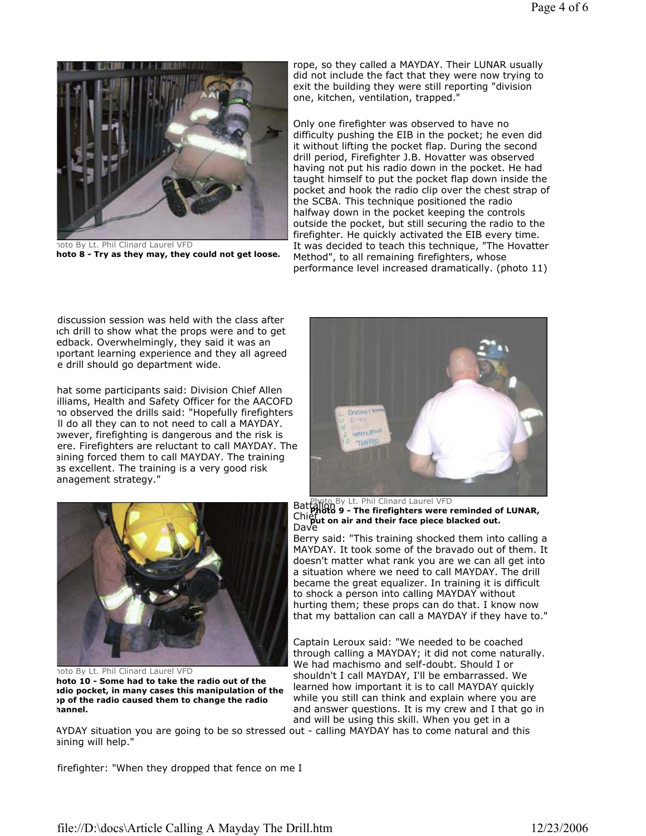

noto By Lt. Phil Clinard Laurel VFD hoto 8 - Try as they may, they could not get loose.

rope, so they called a MAYDAY. Their LUNAR usually did not include the fact that they were now trying to exit the building they were still reporting "division one, kitchen, ventilation, trapped."

Only one firefighter was observed to have no difficulty pushing the EIB in the pocket; he even did it without lifting the pocket flap. During the second drill period, Firefighter J.B. Hovatter was observed having not put his radio down in the pocket. He had taught himself to put the pocket flap down inside the pocket and hook the radio clip over the chest strap of the SCBA. This technique positioned the radio halfway down in the pocket keeping the controls outside the pocket, but still securing the radio to the firefighter. He quickly activated the EIB every time. It was decided to teach this technique, "The Hovatter Method", to all remaining firefighters, whose performance level increased dramatically. (photo 11)

discussion session was held with the class after ich drill to show what the props were and to get edback. Overwhelmingly, they said it was an iportant learning experience and they all agreed e drill should go department wide.

hat some participants said: Division Chief Allen illiams, Health and Safety Officer for the AACOFD ho observed the drills said: "Hopefully firefighters II do all they can to not need to call a MAYDAY. wever, firefighting is dangerous and the risk is ere. Firefighters are reluctant to call MAYDAY. The aining forced them to call MAYDAY. The training as excellent. The training is a very good risk anagement strategy."





noto By Lt. Phil Clinard Laurel VFD hoto 10 - Some had to take the radio out of the adio pocket, in many cases this manipulation of the p of the radio caused them to change the radio hannel.

**Battalion** By Lt. Phil Clinard Laurel VFD Chief Control of the menginers were reminded to the post of the plack of the placked out. Dave Photo 9 - The firefighters were reminded of LUNAR,

Berry said: "This training shocked them into calling a MAYDAY. It took some of the bravado out of them. It doesn't matter what rank you are we can all get into a situation where we need to call MAYDAY. The drill became the great equalizer. In training it is difficult to shock a person into calling MAYDAY without hurting them; these props can do that. I know now that my battalion can call a MAYDAY if they have to."

Captain Leroux said: "We needed to be coached through calling a MAYDAY; it did not come naturally. We had machismo and self-doubt. Should I or shouldn't I call MAYDAY, I'll be embarrassed. We learned how important it is to call MAYDAY quickly while you still can think and explain where you are and answer questions. It is my crew and I that go in and will be using this skill. When you get in a

AYDAY situation you are going to be so stressed out - calling MAYDAY has to come natural and this aining will help."

firefighter: "When they dropped that fence on me I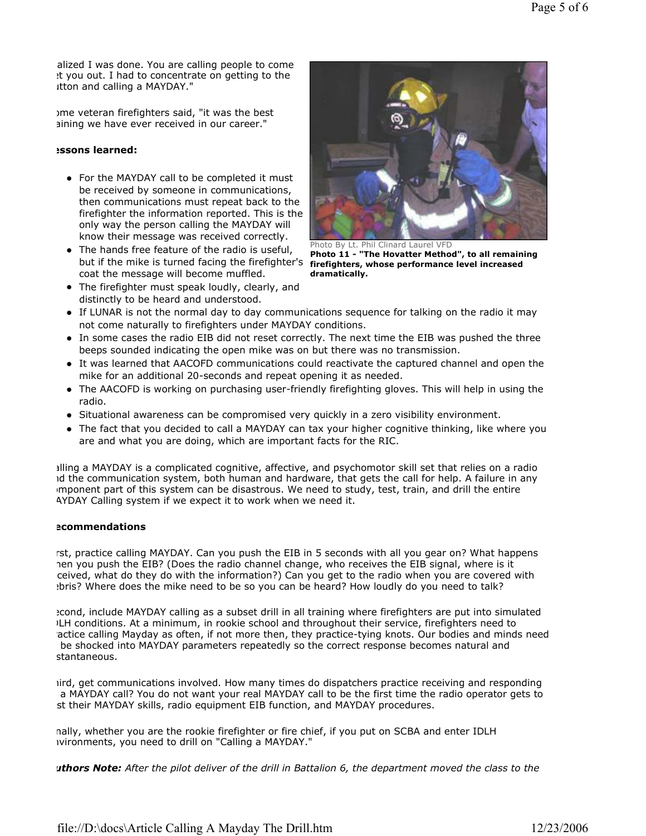alized I was done. You are calling people to come et you out. I had to concentrate on getting to the itton and calling a MAYDAY."

Some veteran firefighters said, "it was the best aining we have ever received in our career."

## Lessons learned:

- For the MAYDAY call to be completed it must be received by someone in communications, then communications must repeat back to the firefighter the information reported. This is the only way the person calling the MAYDAY will know their message was received correctly.
- The hands free feature of the radio is useful, but if the mike is turned facing the firefighter's coat the message will become muffled.
- The firefighter must speak loudly, clearly, and distinctly to be heard and understood.



Photo By Lt. Phil Clinard Laurel VFD Photo 11 - "The Hovatter Method", to all remaining firefighters, whose performance level increased dramatically.

- If LUNAR is not the normal day to day communications sequence for talking on the radio it may not come naturally to firefighters under MAYDAY conditions.
- In some cases the radio EIB did not reset correctly. The next time the EIB was pushed the three beeps sounded indicating the open mike was on but there was no transmission.
- It was learned that AACOFD communications could reactivate the captured channel and open the mike for an additional 20-seconds and repeat opening it as needed.
- The AACOFD is working on purchasing user-friendly firefighting gloves. This will help in using the radio.
- Situational awareness can be compromised very quickly in a zero visibility environment.
- The fact that you decided to call a MAYDAY can tax your higher cognitive thinking, like where you are and what you are doing, which are important facts for the RIC.

Calling a MAYDAY is a complicated cognitive, affective, and psychomotor skill set that relies on a radio id the communication system, both human and hardware, that gets the call for help. A failure in any mponent part of this system can be disastrous. We need to study, test, train, and drill the entire AYDAY Calling system if we expect it to work when we need it.

## ecommendations

rst, practice calling MAYDAY. Can you push the EIB in 5 seconds with all you gear on? What happens hen you push the EIB? (Does the radio channel change, who receives the EIB signal, where is it received, what do they do with the information?) Can you get to the radio when you are covered with bris? Where does the mike need to be so you can be heard? How loudly do you need to talk?

econd, include MAYDAY calling as a subset drill in all training where firefighters are put into simulated IDLH conditions. At a minimum, in rookie school and throughout their service, firefighters need to actice calling Mayday as often, if not more then, they practice-tying knots. Our bodies and minds need be shocked into MAYDAY parameters repeatedly so the correct response becomes natural and stantaneous.

iird, get communications involved. How many times do dispatchers practice receiving and responding a MAYDAY call? You do not want your real MAYDAY call to be the first time the radio operator gets to st their MAYDAY skills, radio equipment EIB function, and MAYDAY procedures.

nally, whether you are the rookie firefighter or fire chief, if you put on SCBA and enter IDLH ivironments, you need to drill on "Calling a MAYDAY."

uthors Note: After the pilot deliver of the drill in Battalion 6, the department moved the class to the